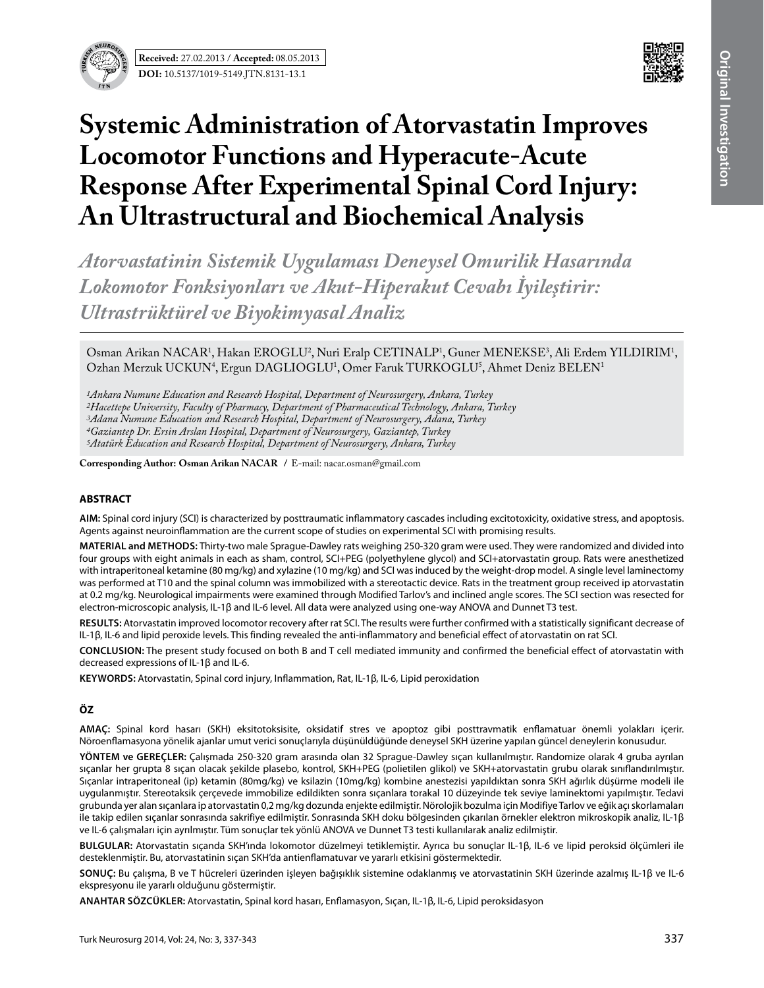



# **Systemic Administration of Atorvastatin Improves Locomotor Functions and Hyperacute-Acute Response After Experimental Spinal Cord Injury: An Ultrastructural and Biochemical Analysis**

*Atorvastatinin Sistemik Uygulaması Deneysel Omurilik Hasarında Lokomotor Fonksiyonları ve Akut-Hiperakut Cevabı İyileştirir: Ultrastrüktürel ve Biyokimyasal Analiz*

Osman Arikan NACAR<sup>1</sup>, Hakan EROGLU<sup>2</sup>, Nuri Eralp CETINALP<sup>1</sup>, Guner MENEKSE<sup>3</sup>, Ali Erdem YILDIRIM<sup>1</sup>, Ozhan Merzuk UCKUN<sup>4</sup>, Ergun DAGLIOGLU<sup>1</sup>, Omer Faruk TURKOGLU<sup>5</sup>, Ahmet Deniz BELEN<sup>1</sup>

*1Ankara Numune Education and Research Hospital, Department of Neurosurgery, Ankara, Turkey 2Hacettepe University, Faculty of Pharmacy, Department of Pharmaceutical Technology, Ankara, Turkey 3Adana Numune Education and Research Hospital, Department of Neurosurgery, Adana, Turkey 4Gaziantep Dr. Ersin Arslan Hospital, Department of Neurosurgery, Gaziantep, Turkey 5Atatürk Education and Research Hospital, Department of Neurosurgery, Ankara, Turkey*

**Corresponding Author: Osman Arikan Nacar /** E-mail: nacar.osman@gmail.com

#### **ABSTRACT**

**AIm:** Spinal cord injury (SCI) is characterized by posttraumatic inflammatory cascades including excitotoxicity, oxidative stress, and apoptosis. Agents against neuroinflammation are the current scope of studies on experimental SCI with promising results.

**MaterIal and Methods:** Thirty-two male Sprague-Dawley rats weighing 250-320 gram were used. They were randomized and divided into four groups with eight animals in each as sham, control, SCI+PEG (polyethylene glycol) and SCI+atorvastatin group. Rats were anesthetized with intraperitoneal ketamine (80 mg/kg) and xylazine (10 mg/kg) and SCI was induced by the weight-drop model. A single level laminectomy was performed at T10 and the spinal column was immobilized with a stereotactic device. Rats in the treatment group received ip atorvastatin at 0.2 mg/kg. Neurological impairments were examined through Modified Tarlov's and inclined angle scores. The SCI section was resected for electron-microscopic analysis, IL-1β and IL-6 level. All data were analyzed using one-way ANOVA and Dunnet T3 test.

**Results:** Atorvastatin improved locomotor recovery after rat SCI. The results were further confirmed with a statistically significant decrease of IL-1β, IL-6 and lipid peroxide levels. This finding revealed the anti-inflammatory and beneficial effect of atorvastatin on rat SCI.

**ConclusIon:** The present study focused on both B and T cell mediated immunity and confirmed the beneficial effect of atorvastatin with decreased expressions of IL-1β and IL-6.

**Keywords:** Atorvastatin, Spinal cord injury, Inflammation, Rat, IL-1β, IL-6, Lipid peroxidation

## **ÖZ**

**AMAÇ:** Spinal kord hasarı (SKH) eksitotoksisite, oksidatif stres ve apoptoz gibi posttravmatik enflamatuar önemli yolakları içerir. Nöroenflamasyona yönelik ajanlar umut verici sonuçlarıyla düşünüldüğünde deneysel SKH üzerine yapılan güncel deneylerin konusudur.

**YÖNTEM ve GEREÇLER:** Çalışmada 250-320 gram arasında olan 32 Sprague-Dawley sıçan kullanılmıştır. Randomize olarak 4 gruba ayrılan sıçanlar her grupta 8 sıçan olacak şekilde plasebo, kontrol, SKH+PEG (polietilen glikol) ve SKH+atorvastatin grubu olarak sınıflandırılmıştır. Sıçanlar intraperitoneal (ip) ketamin (80mg/kg) ve ksilazin (10mg/kg) kombine anestezisi yapıldıktan sonra SKH ağırlık düşürme modeli ile uygulanmıştır. Stereotaksik çerçevede immobilize edildikten sonra sıçanlara torakal 10 düzeyinde tek seviye laminektomi yapılmıştır. Tedavi grubunda yer alan sıçanlara ip atorvastatin 0,2 mg/kg dozunda enjekte edilmiştir. Nörolojik bozulma için Modifiye Tarlov ve eğik açı skorlamaları ile takip edilen sıçanlar sonrasında sakrifiye edilmiştir. Sonrasında SKH doku bölgesinden çıkarılan örnekler elektron mikroskopik analiz, IL-1β ve IL-6 çalışmaları için ayrılmıştır. Tüm sonuçlar tek yönlü ANOVA ve Dunnet T3 testi kullanılarak analiz edilmiştir.

**BULGULAR:** Atorvastatin sıçanda SKH'ında lokomotor düzelmeyi tetiklemiştir. Ayrıca bu sonuçlar IL-1β, IL-6 ve lipid peroksid ölçümleri ile desteklenmiştir. Bu, atorvastatinin sıçan SKH'da antienflamatuvar ve yararlı etkisini göstermektedir.

**SONUÇ:** Bu çalışma, B ve T hücreleri üzerinden işleyen bağışıklık sistemine odaklanmış ve atorvastatinin SKH üzerinde azalmış IL-1β ve IL-6 ekspresyonu ile yararlı olduğunu göstermiştir.

**ANAHTAR SÖZCÜKLER:** Atorvastatin, Spinal kord hasarı, Enflamasyon, Sıçan, IL-1β, IL-6, Lipid peroksidasyon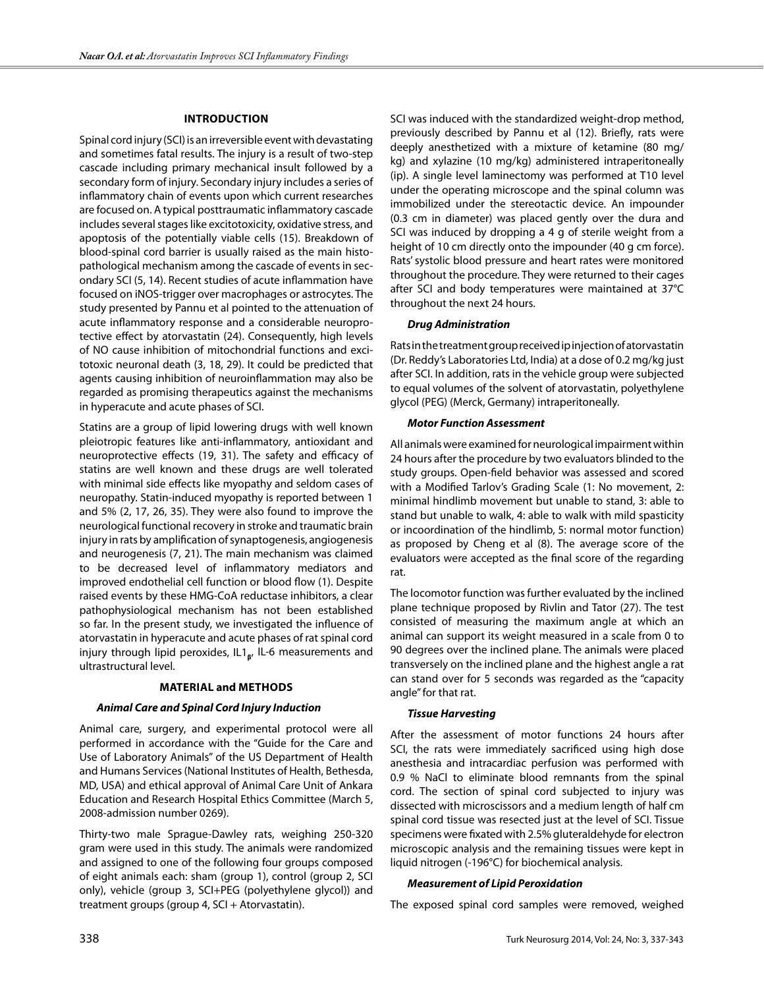## **Introduction**

Spinal cord injury (SCI) is an irreversible event with devastating and sometimes fatal results. The injury is a result of two-step cascade including primary mechanical insult followed by a secondary form of injury. Secondary injury includes a series of inflammatory chain of events upon which current researches are focused on. A typical posttraumatic inflammatory cascade includes several stages like excitotoxicity, oxidative stress, and apoptosis of the potentially viable cells (15). Breakdown of blood-spinal cord barrier is usually raised as the main histopathological mechanism among the cascade of events in secondary SCI (5, 14). Recent studies of acute inflammation have focused on iNOS-trigger over macrophages or astrocytes. The study presented by Pannu et al pointed to the attenuation of acute inflammatory response and a considerable neuroprotective effect by atorvastatin (24). Consequently, high levels of NO cause inhibition of mitochondrial functions and excitotoxic neuronal death (3, 18, 29). It could be predicted that agents causing inhibition of neuroinflammation may also be regarded as promising therapeutics against the mechanisms in hyperacute and acute phases of SCI.

Statins are a group of lipid lowering drugs with well known pleiotropic features like anti-inflammatory, antioxidant and neuroprotective effects (19, 31). The safety and efficacy of statins are well known and these drugs are well tolerated with minimal side effects like myopathy and seldom cases of neuropathy. Statin-induced myopathy is reported between 1 and 5% (2, 17, 26, 35). They were also found to improve the neurological functional recovery in stroke and traumatic brain injury in rats by amplification of synaptogenesis, angiogenesis and neurogenesis (7, 21). The main mechanism was claimed to be decreased level of inflammatory mediators and improved endothelial cell function or blood flow (1). Despite raised events by these HMG-CoA reductase inhibitors, a clear pathophysiological mechanism has not been established so far. In the present study, we investigated the influence of atorvastatin in hyperacute and acute phases of rat spinal cord injury through lipid peroxides, IL1<sub>R</sub>, IL-6 measurements and ultrastructural level.

#### **Material and Methods**

#### *Animal Care and Spinal Cord Injury Induction*

Animal care, surgery, and experimental protocol were all performed in accordance with the "Guide for the Care and Use of Laboratory Animals" of the US Department of Health and Humans Services (National Institutes of Health, Bethesda, MD, USA) and ethical approval of Animal Care Unit of Ankara Education and Research Hospital Ethics Committee (March 5, 2008-admission number 0269).

Thirty-two male Sprague-Dawley rats, weighing 250-320 gram were used in this study. The animals were randomized and assigned to one of the following four groups composed of eight animals each: sham (group 1), control (group 2, SCI only), vehicle (group 3, SCI+PEG (polyethylene glycol)) and treatment groups (group 4, SCI + Atorvastatin).

SCI was induced with the standardized weight-drop method, previously described by Pannu et al (12). Briefly, rats were deeply anesthetized with a mixture of ketamine (80 mg/ kg) and xylazine (10 mg/kg) administered intraperitoneally (ip). A single level laminectomy was performed at T10 level under the operating microscope and the spinal column was immobilized under the stereotactic device. An impounder (0.3 cm in diameter) was placed gently over the dura and SCI was induced by dropping a 4 g of sterile weight from a height of 10 cm directly onto the impounder (40 g cm force). Rats' systolic blood pressure and heart rates were monitored throughout the procedure. They were returned to their cages after SCI and body temperatures were maintained at 37°C throughout the next 24 hours.

#### *Drug Administration*

Rats in the treatment group received ip injection of atorvastatin (Dr. Reddy's Laboratories Ltd, India) at a dose of 0.2 mg/kg just after SCI. In addition, rats in the vehicle group were subjected to equal volumes of the solvent of atorvastatin, polyethylene glycol (PEG) (Merck, Germany) intraperitoneally.

#### *Motor Function Assessment*

All animals were examined for neurological impairment within 24 hours after the procedure by two evaluators blinded to the study groups. Open-field behavior was assessed and scored with a Modified Tarlov's Grading Scale (1: No movement, 2: minimal hindlimb movement but unable to stand, 3: able to stand but unable to walk, 4: able to walk with mild spasticity or incoordination of the hindlimb, 5: normal motor function) as proposed by Cheng et al (8). The average score of the evaluators were accepted as the final score of the regarding rat.

The locomotor function was further evaluated by the inclined plane technique proposed by Rivlin and Tator (27). The test consisted of measuring the maximum angle at which an animal can support its weight measured in a scale from 0 to 90 degrees over the inclined plane. The animals were placed transversely on the inclined plane and the highest angle a rat can stand over for 5 seconds was regarded as the "capacity angle" for that rat.

#### *Tissue Harvesting*

After the assessment of motor functions 24 hours after SCI, the rats were immediately sacrificed using high dose anesthesia and intracardiac perfusion was performed with 0.9 % NaCl to eliminate blood remnants from the spinal cord. The section of spinal cord subjected to injury was dissected with microscissors and a medium length of half cm spinal cord tissue was resected just at the level of SCI. Tissue specimens were fixated with 2.5% gluteraldehyde for electron microscopic analysis and the remaining tissues were kept in liquid nitrogen (-196°C) for biochemical analysis.

#### *Measurement of Lipid Peroxidation*

The exposed spinal cord samples were removed, weighed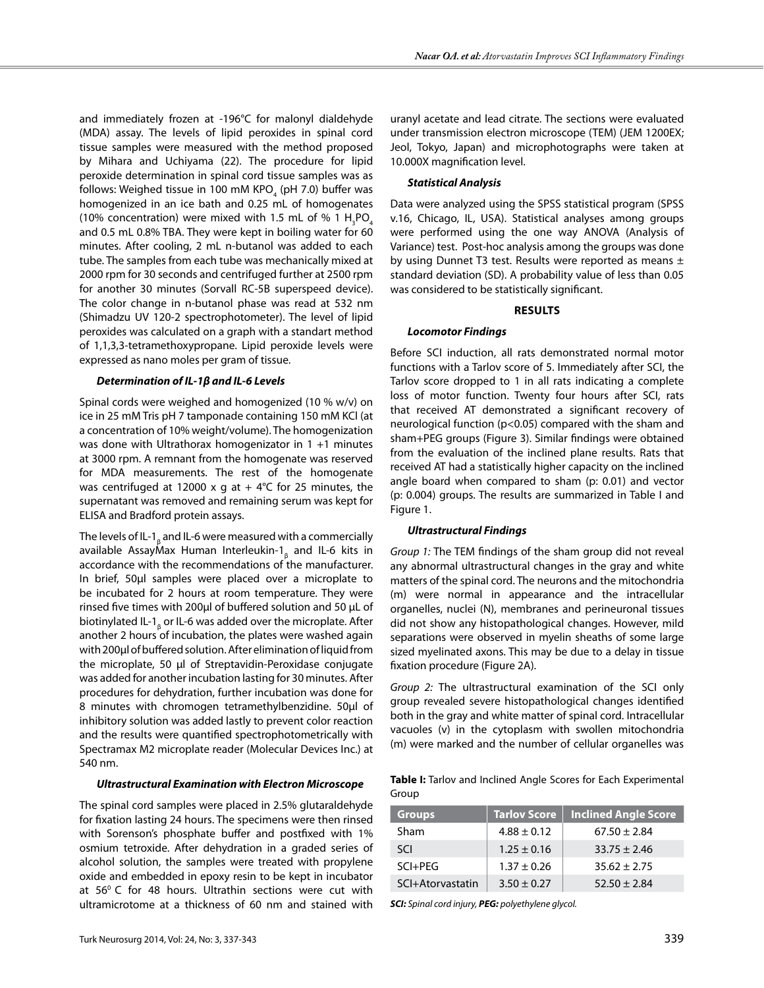and immediately frozen at -196°C for malonyl dialdehyde (MDA) assay. The levels of lipid peroxides in spinal cord tissue samples were measured with the method proposed by Mihara and Uchiyama (22). The procedure for lipid peroxide determination in spinal cord tissue samples was as follows: Weighed tissue in 100 mM KPO $_{\tiny 4}$  (pH 7.0) buffer was homogenized in an ice bath and 0.25 mL of homogenates (10% concentration) were mixed with 1.5 mL of % 1  $H_3$ PO<sub>4</sub> and 0.5 mL 0.8% TBA. They were kept in boiling water for 60 minutes. After cooling, 2 mL n-butanol was added to each tube. The samples from each tube was mechanically mixed at 2000 rpm for 30 seconds and centrifuged further at 2500 rpm for another 30 minutes (Sorvall RC-5B superspeed device). The color change in n-butanol phase was read at 532 nm (Shimadzu UV 120-2 spectrophotometer). The level of lipid peroxides was calculated on a graph with a standart method of 1,1,3,3-tetramethoxypropane. Lipid peroxide levels were expressed as nano moles per gram of tissue.

#### *Determination of IL-1β and IL-6 Levels*

Spinal cords were weighed and homogenized (10 % w/v) on ice in 25 mM Tris pH 7 tamponade containing 150 mM KCl (at a concentration of 10% weight/volume). The homogenization was done with Ultrathorax homogenizator in 1 +1 minutes at 3000 rpm. A remnant from the homogenate was reserved for MDA measurements. The rest of the homogenate was centrifuged at 12000 x g at  $+$  4°C for 25 minutes, the supernatant was removed and remaining serum was kept for ELISA and Bradford protein assays.

The levels of IL-1 $_{\rm \beta}$  and IL-6 were measured with a commercially available AssayMax Human Interleukin-1<sub>β</sub> and IL-6 kits in accordance with the recommendations of the manufacturer. In brief, 50μl samples were placed over a microplate to be incubated for 2 hours at room temperature. They were rinsed five times with 200μl of buffered solution and 50 µL of biotinylated IL-1<sub>β</sub> or IL-6 was added over the microplate. After another 2 hours of incubation, the plates were washed again with 200μl of buffered solution. After elimination of liquid from the microplate, 50 μl of Streptavidin-Peroxidase conjugate was added for another incubation lasting for 30 minutes. After procedures for dehydration, further incubation was done for 8 minutes with chromogen tetramethylbenzidine. 50μl of inhibitory solution was added lastly to prevent color reaction and the results were quantified spectrophotometrically with Spectramax M2 microplate reader (Molecular Devices Inc.) at 540 nm.

#### *Ultrastructural Examination with Electron Microscope*

The spinal cord samples were placed in 2.5% glutaraldehyde for fixation lasting 24 hours. The specimens were then rinsed with Sorenson's phosphate buffer and postfixed with 1% osmium tetroxide. After dehydration in a graded series of alcohol solution, the samples were treated with propylene oxide and embedded in epoxy resin to be kept in incubator at  $56^{\circ}$  C for 48 hours. Ultrathin sections were cut with ultramicrotome at a thickness of 60 nm and stained with uranyl acetate and lead citrate. The sections were evaluated under transmission electron microscope (TEM) (JEM 1200EX; Jeol, Tokyo, Japan) and microphotographs were taken at 10.000X magnification level.

#### *Statistical Analysis*

Data were analyzed using the SPSS statistical program (SPSS v.16, Chicago, IL, USA). Statistical analyses among groups were performed using the one way ANOVA (Analysis of Variance) test. Post-hoc analysis among the groups was done by using Dunnet T3 test. Results were reported as means ± standard deviation (SD). A probability value of less than 0.05 was considered to be statistically significant.

#### **Results**

#### *Locomotor Findings*

Before SCI induction, all rats demonstrated normal motor functions with a Tarlov score of 5. Immediately after SCI, the Tarlov score dropped to 1 in all rats indicating a complete loss of motor function. Twenty four hours after SCI, rats that received AT demonstrated a significant recovery of neurological function (p<0.05) compared with the sham and sham+PEG groups (Figure 3). Similar findings were obtained from the evaluation of the inclined plane results. Rats that received AT had a statistically higher capacity on the inclined angle board when compared to sham (p: 0.01) and vector (p: 0.004) groups. The results are summarized in Table I and Figure 1.

#### *Ultrastructural Findings*

*Group 1:* The TEM findings of the sham group did not reveal any abnormal ultrastructural changes in the gray and white matters of the spinal cord. The neurons and the mitochondria (m) were normal in appearance and the intracellular organelles, nuclei (N), membranes and perineuronal tissues did not show any histopathological changes. However, mild separations were observed in myelin sheaths of some large sized myelinated axons. This may be due to a delay in tissue fixation procedure (Figure 2a).

*Group 2:* The ultrastructural examination of the SCI only group revealed severe histopathological changes identified both in the gray and white matter of spinal cord. Intracellular vacuoles (v) in the cytoplasm with swollen mitochondria (m) were marked and the number of cellular organelles was

**Table I:** Tarlov and Inclined Angle Scores for Each Experimental Group

| <b>Groups</b>    | <b>Tarlov Score</b> | Inclined Angle Score |
|------------------|---------------------|----------------------|
| Sham             | $4.88 \pm 0.12$     | $67.50 \pm 2.84$     |
| <b>SCI</b>       | $1.25 \pm 0.16$     | $33.75 \pm 2.46$     |
| $SCI + PEG$      | $1.37 \pm 0.26$     | $35.62 \pm 2.75$     |
| SCI+Atorvastatin | $3.50 \pm 0.27$     | $52.50 \pm 2.84$     |

*SCI: Spinal cord injury, PEG: polyethylene glycol.*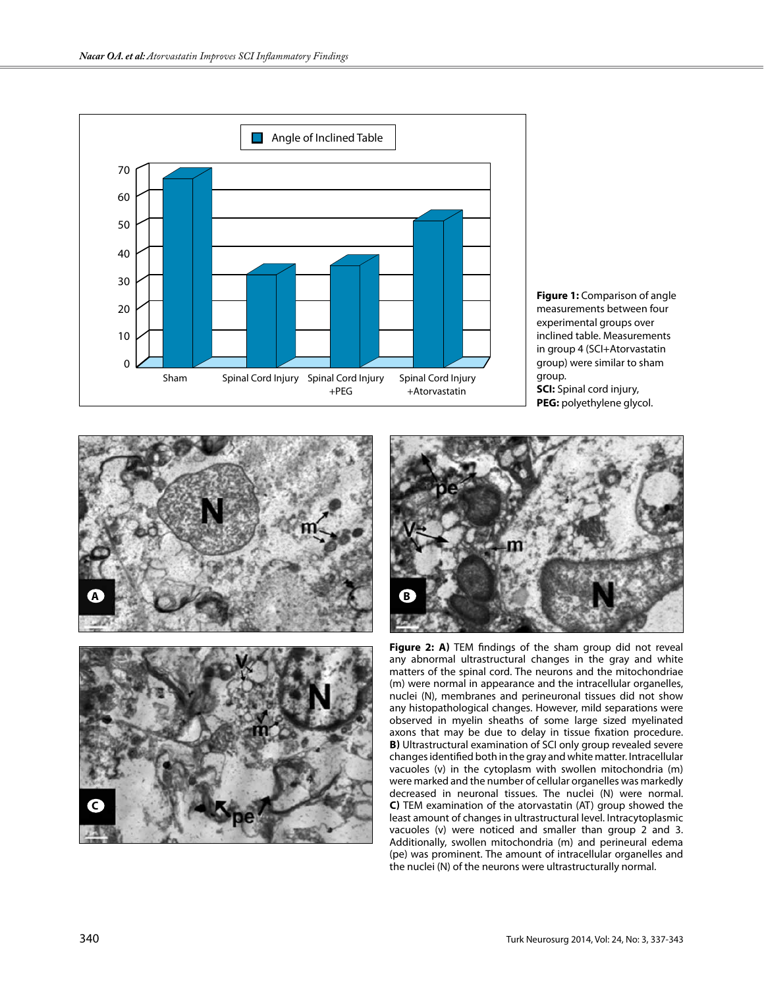



**PEG:** polyethylene glycol.





**Figure 2: a)** TEM findings of the sham group did not reveal any abnormal ultrastructural changes in the gray and white matters of the spinal cord. The neurons and the mitochondriae (m) were normal in appearance and the intracellular organelles, nuclei (N), membranes and perineuronal tissues did not show any histopathological changes. However, mild separations were observed in myelin sheaths of some large sized myelinated axons that may be due to delay in tissue fixation procedure. **b)** Ultrastructural examination of SCI only group revealed severe changes identified both in the gray and white matter. Intracellular vacuoles (v) in the cytoplasm with swollen mitochondria (m) were marked and the number of cellular organelles was markedly decreased in neuronal tissues. The nuclei (N) were normal. **c)** TEM examination of the atorvastatin (AT) group showed the least amount of changes in ultrastructural level. Intracytoplasmic vacuoles (v) were noticed and smaller than group 2 and 3. Additionally, swollen mitochondria (m) and perineural edema (pe) was prominent. The amount of intracellular organelles and the nuclei (N) of the neurons were ultrastructurally normal.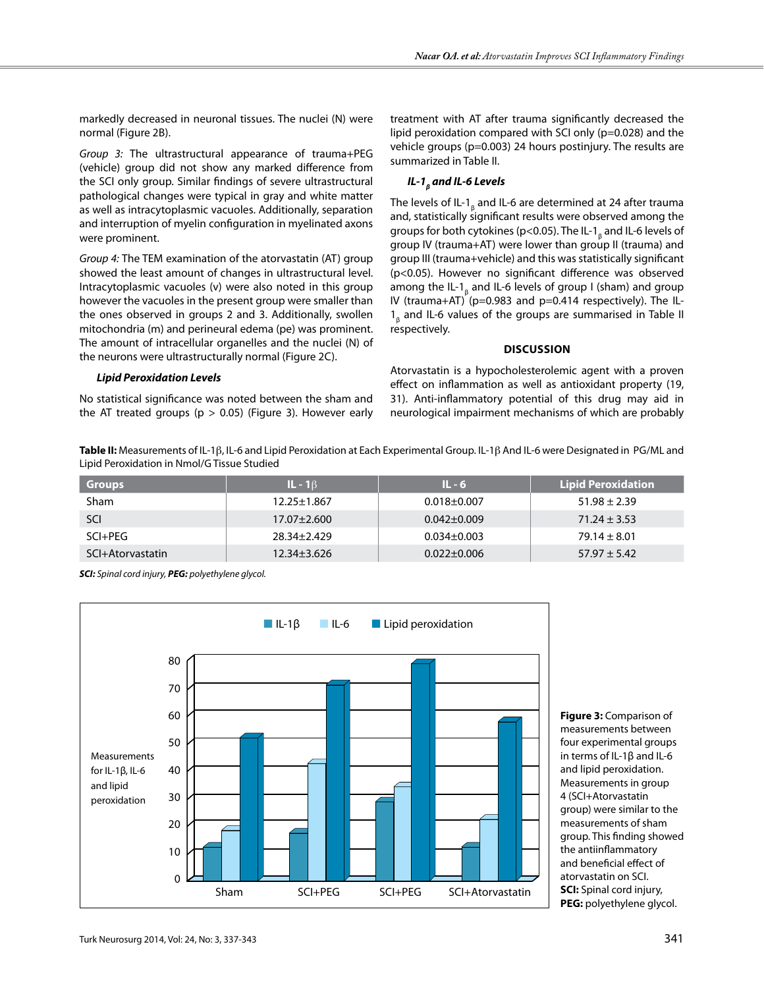markedly decreased in neuronal tissues. The nuclei (N) were normal (Figure 2B).

*Group 3:* The ultrastructural appearance of trauma+PEG (vehicle) group did not show any marked difference from the SCI only group. Similar findings of severe ultrastructural pathological changes were typical in gray and white matter as well as intracytoplasmic vacuoles. Additionally, separation and interruption of myelin configuration in myelinated axons were prominent.

*Group 4:* The TEM examination of the atorvastatin (AT) group showed the least amount of changes in ultrastructural level. Intracytoplasmic vacuoles (v) were also noted in this group however the vacuoles in the present group were smaller than the ones observed in groups 2 and 3. Additionally, swollen mitochondria (m) and perineural edema (pe) was prominent. The amount of intracellular organelles and the nuclei (N) of the neurons were ultrastructurally normal (Figure 2c).

#### *Lipid Peroxidation Levels*

No statistical significance was noted between the sham and the AT treated groups ( $p > 0.05$ ) (Figure 3). However early treatment with AT after trauma significantly decreased the lipid peroxidation compared with SCI only (p=0.028) and the vehicle groups (p=0.003) 24 hours postinjury. The results are summarized in Table II.

# *IL-1<sub>β</sub> and IL-6 Levels*

The levels of IL-1 $_{\rm \beta}$  and IL-6 are determined at 24 after trauma and, statistically significant results were observed among the groups for both cytokines (p<0.05). The IL-1<sub>β</sub> and IL-6 levels of group IV (trauma+AT) were lower than group II (trauma) and group III (trauma+vehicle) and this was statistically significant (p<0.05). However no significant difference was observed among the IL-1<sub>β</sub> and IL-6 levels of group I (sham) and group IV (trauma+AT) ( $p=0.983$  and  $p=0.414$  respectively). The IL- $1_{\beta}$  and IL-6 values of the groups are summarised in Table II respectively.

#### **Discussion**

Atorvastatin is a hypocholesterolemic agent with a proven effect on inflammation as well as antioxidant property (19, 31). Anti-inflammatory potential of this drug may aid in neurological impairment mechanisms of which are probably

**Table II:** Measurements of Il-1β, Il-6 and Lipid Peroxidation at Each Experimental Group. Il-1β And Il-6 were Designated in Pg/Ml and Lipid Peroxidation in Nmol/G Tissue Studied

| <b>Groups</b>    | $IL - 16$         | $IL - 6$          | <b>Lipid Peroxidation</b> |
|------------------|-------------------|-------------------|---------------------------|
| <b>Sham</b>      | 12.25±1.867       | $0.018 \pm 0.007$ | $51.98 \pm 2.39$          |
| SCI              | $17.07 \pm 2.600$ | $0.042 \pm 0.009$ | $71.24 \pm 3.53$          |
| SCI+PEG          | 28.34+2.429       | $0.034 \pm 0.003$ | $79.14 \pm 8.01$          |
| SCI+Atorvastatin | $12.34 \pm 3.626$ | $0.022 \pm 0.006$ | $57.97 \pm 5.42$          |

*SCI: Spinal cord injury, PEG: polyethylene glycol.* 



**Figure 3:** Comparison of measurements between four experimental groups in terms of IL-1β and IL-6 and lipid peroxidation. Measurements in group 4 (SCI+Atorvastatin group) were similar to the measurements of sham group. This finding showed the antiinflammatory and beneficial effect of atorvastatin on SCI. **SCI:** Spinal cord injury, **PEG:** polyethylene glycol.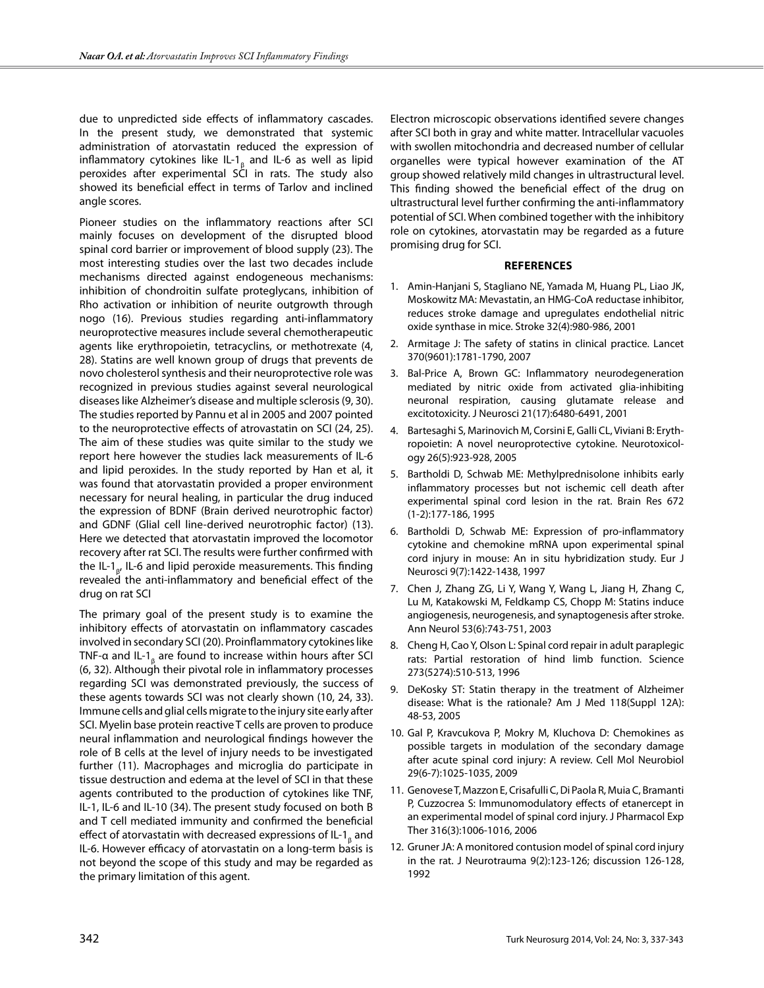due to unpredicted side effects of inflammatory cascades. In the present study, we demonstrated that systemic administration of atorvastatin reduced the expression of inflammatory cytokines like IL-1 $_{\beta}$  and IL-6 as well as lipid peroxides after experimental SCI in rats. The study also showed its beneficial effect in terms of Tarlov and inclined angle scores.

Pioneer studies on the inflammatory reactions after SCI mainly focuses on development of the disrupted blood spinal cord barrier or improvement of blood supply (23). The most interesting studies over the last two decades include mechanisms directed against endogeneous mechanisms: inhibition of chondroitin sulfate proteglycans, inhibition of Rho activation or inhibition of neurite outgrowth through nogo (16). Previous studies regarding anti-inflammatory neuroprotective measures include several chemotherapeutic agents like erythropoietin, tetracyclins, or methotrexate (4, 28). Statins are well known group of drugs that prevents de novo cholesterol synthesis and their neuroprotective role was recognized in previous studies against several neurological diseases like Alzheimer's disease and multiple sclerosis (9, 30). The studies reported by Pannu et al in 2005 and 2007 pointed to the neuroprotective effects of atrovastatin on SCI (24, 25). The aim of these studies was quite similar to the study we report here however the studies lack measurements of IL-6 and lipid peroxides. In the study reported by Han et al, it was found that atorvastatin provided a proper environment necessary for neural healing, in particular the drug induced the expression of BDNF (Brain derived neurotrophic factor) and GDNF (Glial cell line-derived neurotrophic factor) (13). Here we detected that atorvastatin improved the locomotor recovery after rat SCI. The results were further confirmed with the IL-1<sub>β</sub>, IL-6 and lipid peroxide measurements. This finding revealed the anti-inflammatory and beneficial effect of the drug on rat SCI

The primary goal of the present study is to examine the inhibitory effects of atorvastatin on inflammatory cascades involved in secondary SCI (20). Proinflammatory cytokines like TNF- $\alpha$  and IL-1 $_{\beta}$  are found to increase within hours after SCI (6, 32). Although their pivotal role in inflammatory processes regarding SCI was demonstrated previously, the success of these agents towards SCI was not clearly shown (10, 24, 33). Immune cells and glial cells migrate to the injury site early after SCI. Myelin base protein reactive T cells are proven to produce neural inflammation and neurological findings however the role of B cells at the level of injury needs to be investigated further (11). Macrophages and microglia do participate in tissue destruction and edema at the level of SCI in that these agents contributed to the production of cytokines like TNF, IL-1, IL-6 and IL-10 (34). The present study focused on both B and T cell mediated immunity and confirmed the beneficial effect of atorvastatin with decreased expressions of IL-1 $_{\mathrm{g}}$  and IL-6. However efficacy of atorvastatin on a long-term basis is not beyond the scope of this study and may be regarded as the primary limitation of this agent.

Electron microscopic observations identified severe changes after SCI both in gray and white matter. Intracellular vacuoles with swollen mitochondria and decreased number of cellular organelles were typical however examination of the AT group showed relatively mild changes in ultrastructural level. This finding showed the beneficial effect of the drug on ultrastructural level further confirming the anti-inflammatory potential of SCI. When combined together with the inhibitory role on cytokines, atorvastatin may be regarded as a future promising drug for SCI.

#### **References**

- 1. Amin-Hanjani S, Stagliano NE, Yamada M, Huang PL, Liao JK, Moskowitz MA: Mevastatin, an HMG-CoA reductase inhibitor, reduces stroke damage and upregulates endothelial nitric oxide synthase in mice. Stroke 32(4):980-986, 2001
- 2. Armitage J: The safety of statins in clinical practice. Lancet 370(9601):1781-1790, 2007
- 3. Bal-Price A, Brown GC: Inflammatory neurodegeneration mediated by nitric oxide from activated glia-inhibiting neuronal respiration, causing glutamate release and excitotoxicity. J Neurosci 21(17):6480-6491, 2001
- 4. Bartesaghi S, Marinovich M, Corsini E, Galli CL, Viviani B: Erythropoietin: A novel neuroprotective cytokine. Neurotoxicology 26(5):923-928, 2005
- 5. Bartholdi D, Schwab ME: Methylprednisolone inhibits early inflammatory processes but not ischemic cell death after experimental spinal cord lesion in the rat. Brain Res 672 (1-2):177-186, 1995
- 6. Bartholdi D, Schwab ME: Expression of pro-inflammatory cytokine and chemokine mRNA upon experimental spinal cord injury in mouse: An in situ hybridization study. Eur J Neurosci 9(7):1422-1438, 1997
- 7. Chen J, Zhang ZG, Li Y, Wang Y, Wang L, Jiang H, Zhang C, Lu M, Katakowski M, Feldkamp CS, Chopp M: Statins induce angiogenesis, neurogenesis, and synaptogenesis after stroke. Ann Neurol 53(6):743-751, 2003
- 8. Cheng H, Cao Y, Olson L: Spinal cord repair in adult paraplegic rats: Partial restoration of hind limb function. Science 273(5274):510-513, 1996
- 9. DeKosky ST: Statin therapy in the treatment of Alzheimer disease: What is the rationale? Am J Med 118(Suppl 12A): 48-53, 2005
- 10. Gal P, Kravcukova P, Mokry M, Kluchova D: Chemokines as possible targets in modulation of the secondary damage after acute spinal cord injury: A review. Cell Mol Neurobiol 29(6-7):1025-1035, 2009
- 11. Genovese T, Mazzon E, Crisafulli C, Di Paola R, Muia C, Bramanti P, Cuzzocrea S: Immunomodulatory effects of etanercept in an experimental model of spinal cord injury. J Pharmacol Exp Ther 316(3):1006-1016, 2006
- 12. Gruner JA: A monitored contusion model of spinal cord injury in the rat. J Neurotrauma 9(2):123-126; discussion 126-128, 1992